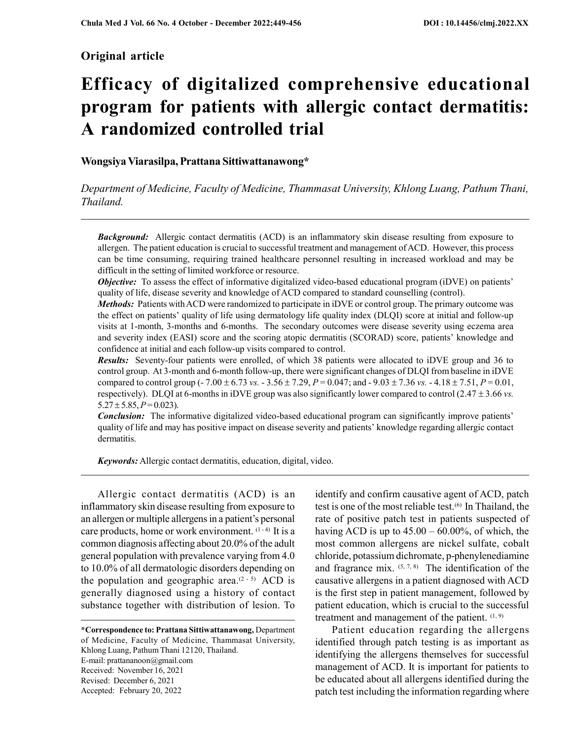# Original article

# Efficacy of digitalized comprehensive educational program for patients with allergic contact dermatitis: A randomized controlled trial

# Wongsiya Viarasilpa, Prattana Sittiwattanawong\*

Department of Medicine, Faculty of Medicine, Thammasat University, Khlong Luang, Pathum Thani, Thailand.

**Background:** Allergic contact dermatitis (ACD) is an inflammatory skin disease resulting from exposure to allergen. The patient education is crucial to successful treatment and management of ACD. However, this process can be time consuming, requiring trained healthcare personnel resulting in increased workload and may be difficult in the setting of limited workforce or resource.

Objective: To assess the effect of informative digitalized video-based educational program (iDVE) on patients' quality of life, disease severity and knowledge of ACD compared to standard counselling (control).

Methods: Patients with ACD were randomized to participate in iDVE or control group. The primary outcome was the effect on patients' quality of life using dermatology life quality index (DLQI) score at initial and follow-up visits at 1-month, 3-months and 6-months. The secondary outcomes were disease severity using eczema area and severity index (EASI) score and the scoring atopic dermatitis (SCORAD) score, patients' knowledge and confidence at initial and each follow-up visits compared to control.

Results: Seventy-four patients were enrolled, of which 38 patients were allocated to iDVE group and 36 to control group. At 3-month and 6-month follow-up, there were significant changes of DLQI from baseline in iDVE compared to control group (-7.00  $\pm$  6.73 vs. - 3.56  $\pm$  7.29, P = 0.047; and -9.03  $\pm$  7.36 vs. - 4.18  $\pm$  7.51, P = 0.01, respectively). DLQI at 6-months in iDVE group was also significantly lower compared to control (2.47  $\pm$  3.66 vs.  $5.27 \pm 5.85, P = 0.023$ .

**Conclusion:** The informative digitalized video-based educational program can significantly improve patients' quality of life and may has positive impact on disease severity and patients' knowledge regarding allergic contact dermatitis.

Keywords: Allergic contact dermatitis, education, digital, video.

Allergic contact dermatitis (ACD) is an inflammatory skin disease resulting from exposure to an allergen or multiple allergens in a patient's personal care products, home or work environment.  $(1-4)$  It is a common diagnosis affecting about 20.0% of the adult general population with prevalence varying from 4.0 to 10.0% of all dermatologic disorders depending on the population and geographic area.<sup> $(2-5)$ </sup> ACD is generally diagnosed using a history of contact substance together with distribution of lesion. To

\*Correspondence to: Prattana Sittiwattanawong, Department of Medicine, Faculty of Medicine, Thammasat University, Khlong Luang, Pathum Thani 12120, Thailand. E-mail: prattananoon@gmail.com Received: November 16, 2021 Revised: December 6, 2021 Accepted: February 20, 2022

identify and confirm causative agent of ACD, patch test is one of the most reliable test.(6) In Thailand, the rate of positive patch test in patients suspected of having ACD is up to  $45.00 - 60.00\%$ , of which, the most common allergens are nickel sulfate, cobalt chloride, potassium dichromate, p-phenylenediamine and fragrance mix.  $(5, 7, 8)$  The identification of the causative allergens in a patient diagnosed with ACD is the first step in patient management, followed by patient education, which is crucial to the successful treatment and management of the patient.  $(1, 9)$ 

Patient education regarding the allergens identified through patch testing is as important as identifying the allergens themselves for successful management of ACD. It is important for patients to be educated about all allergens identified during the patch test including the information regarding where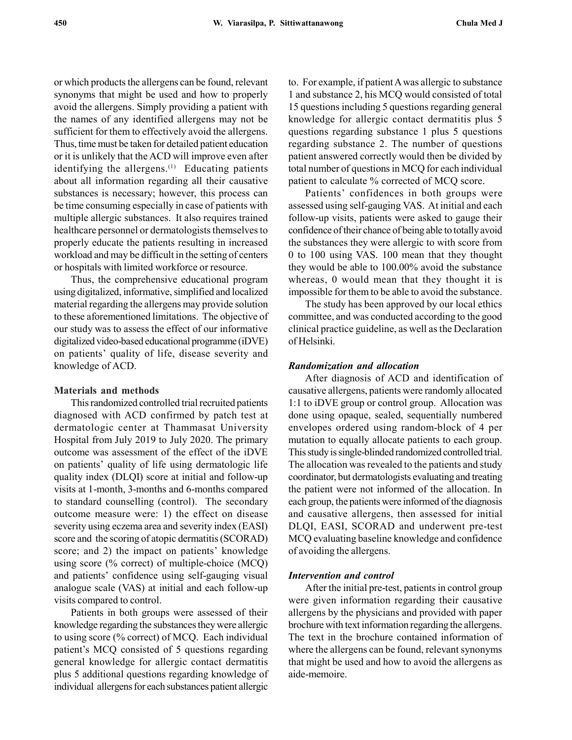or which products the allergens can be found, relevant synonyms that might be used and how to properly avoid the allergens. Simply providing a patient with the names of any identified allergens may not be sufficient for them to effectively avoid the allergens. Thus, time must be taken for detailed patient education or it is unlikely that the ACD will improve even after identifying the allergens.<sup>(1)</sup> Educating patients about all information regarding all their causative substances is necessary; however, this process can be time consuming especially in case of patients with multiple allergic substances. It also requires trained healthcare personnel or dermatologists themselves to properly educate the patients resulting in increased workload and may be difficult in the setting of centers or hospitals with limited workforce or resource.

Thus, the comprehensive educational program using digitalized, informative, simplified and localized material regarding the allergens may provide solution to these aforementioned limitations. The objective of our study was to assess the effect of our informative digitalized video-based educational programme (iDVE) on patients' quality of life, disease severity and knowledge of ACD.

## Materials and methods

This randomized controlled trial recruited patients diagnosed with ACD confirmed by patch test at dermatologic center at Thammasat University Hospital from July 2019 to July 2020. The primary outcome was assessment of the effect of the iDVE on patients' quality of life using dermatologic life quality index (DLQI) score at initial and follow-up visits at 1-month, 3-months and 6-months compared to standard counselling (control). The secondary outcome measure were: 1) the effect on disease severity using eczema area and severity index (EASI) score and the scoring of atopic dermatitis (SCORAD) score; and 2) the impact on patients' knowledge using score (% correct) of multiple-choice (MCQ) and patients' confidence using self-gauging visual analogue scale (VAS) at initial and each follow-up visits compared to control.

Patients in both groups were assessed of their knowledge regarding the substances they were allergic to using score (% correct) of MCQ. Each individual patient's MCQ consisted of 5 questions regarding general knowledge for allergic contact dermatitis plus 5 additional questions regarding knowledge of individual allergens for each substances patient allergic to. For example, if patient A was allergic to substance 1 and substance 2, his MCQ would consisted of total 15 questions including 5 questions regarding general knowledge for allergic contact dermatitis plus 5 questions regarding substance 1 plus 5 questions regarding substance 2. The number of questions patient answered correctly would then be divided by total number of questions in MCQ for each individual patient to calculate % corrected of MCQ score.

Patients' confidences in both groups were assessed using self-gauging VAS. At initial and each follow-up visits, patients were asked to gauge their confidence of their chance of being able to totally avoid the substances they were allergic to with score from 0 to 100 using VAS. 100 mean that they thought they would be able to 100.00% avoid the substance whereas, 0 would mean that they thought it is impossible for them to be able to avoid the substance.

The study has been approved by our local ethics committee, and was conducted according to the good clinical practice guideline, as well as the Declaration of Helsinki.

#### Randomization and allocation

After diagnosis of ACD and identification of causative allergens, patients were randomly allocated 1:1 to iDVE group or control group. Allocation was done using opaque, sealed, sequentially numbered envelopes ordered using random-block of 4 per mutation to equally allocate patients to each group. This study is single-blinded randomized controlled trial. The allocation was revealed to the patients and study coordinator, but dermatologists evaluating and treating the patient were not informed of the allocation. In each group, the patients were informed of the diagnosis and causative allergens, then assessed for initial DLQI, EASI, SCORAD and underwent pre-test MCQ evaluating baseline knowledge and confidence of avoiding the allergens.

## Intervention and control

After the initial pre-test, patients in control group were given information regarding their causative allergens by the physicians and provided with paper brochure with text information regarding the allergens. The text in the brochure contained information of where the allergens can be found, relevant synonyms that might be used and how to avoid the allergens as aide-memoire.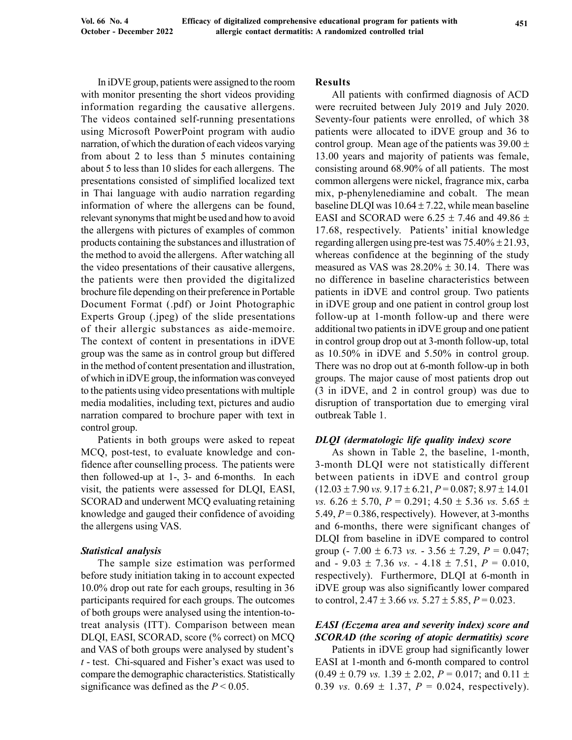In iDVE group, patients were assigned to the room with monitor presenting the short videos providing information regarding the causative allergens. The videos contained self-running presentations using Microsoft PowerPoint program with audio narration, of which the duration of each videos varying from about 2 to less than 5 minutes containing about 5 to less than 10 slides for each allergens. The presentations consisted of simplified localized text in Thai language with audio narration regarding information of where the allergens can be found, relevant synonyms that might be used and how to avoid the allergens with pictures of examples of common products containing the substances and illustration of the method to avoid the allergens. After watching all the video presentations of their causative allergens, the patients were then provided the digitalized brochure file depending on their preference in Portable Document Format (.pdf) or Joint Photographic Experts Group (.jpeg) of the slide presentations of their allergic substances as aide-memoire. The context of content in presentations in iDVE group was the same as in control group but differed in the method of content presentation and illustration, of which in iDVE group, the information was conveyed to the patients using video presentations with multiple media modalities, including text, pictures and audio narration compared to brochure paper with text in control group.

Patients in both groups were asked to repeat MCQ, post-test, to evaluate knowledge and confidence after counselling process. The patients were then followed-up at 1-, 3- and 6-months. In each visit, the patients were assessed for DLQI, EASI, SCORAD and underwent MCQ evaluating retaining knowledge and gauged their confidence of avoiding the allergens using VAS.

## Statistical analysis

The sample size estimation was performed before study initiation taking in to account expected 10.0% drop out rate for each groups, resulting in 36 participants required for each groups. The outcomes of both groups were analysed using the intention-totreat analysis (ITT). Comparison between mean DLQI, EASI, SCORAD, score (% correct) on MCQ and VAS of both groups were analysed by student's  $t$  - test. Chi-squared and Fisher's exact was used to compare the demographic characteristics. Statistically significance was defined as the  $P < 0.05$ .

#### Results

All patients with confirmed diagnosis of ACD were recruited between July 2019 and July 2020. Seventy-four patients were enrolled, of which 38 patients were allocated to iDVE group and 36 to control group. Mean age of the patients was  $39.00 \pm$ 13.00 years and majority of patients was female, consisting around 68.90% of all patients. The most common allergens were nickel, fragrance mix, carba mix, p-phenylenediamine and cobalt. The mean baseline DLQI was  $10.64 \pm 7.22$ , while mean baseline EASI and SCORAD were 6.25  $\pm$  7.46 and 49.86  $\pm$ 17.68, respectively. Patients' initial knowledge regarding allergen using pre-test was  $75.40\% \pm 21.93$ , whereas confidence at the beginning of the study measured as VAS was  $28.20\% \pm 30.14$ . There was no difference in baseline characteristics between patients in iDVE and control group. Two patients in iDVE group and one patient in control group lost follow-up at 1-month follow-up and there were additional two patients in iDVE group and one patient in control group drop out at 3-month follow-up, total as 10.50% in iDVE and 5.50% in control group. There was no drop out at 6-month follow-up in both groups. The major cause of most patients drop out (3 in iDVE, and 2 in control group) was due to disruption of transportation due to emerging viral outbreak Table 1.

#### DLQI (dermatologic life quality index) score

As shown in Table 2, the baseline, 1-month, 3-month DLQI were not statistically different between patients in iDVE and control group  $(12.03 \pm 7.90 \text{ vs. } 9.17 \pm 6.21, P = 0.087; 8.97 \pm 14.01)$ vs.  $6.26 \pm 5.70$ ,  $P = 0.291$ ;  $4.50 \pm 5.36$  vs.  $5.65 \pm 1.5$ 5.49,  $P = 0.386$ , respectively). However, at 3-months and 6-months, there were significant changes of DLQI from baseline in iDVE compared to control group (- 7.00  $\pm$  6.73 *vs.* - 3.56  $\pm$  7.29, *P* = 0.047; and  $-9.03 \pm 7.36$  vs.  $-4.18 \pm 7.51$ ,  $P = 0.010$ , respectively). Furthermore, DLQI at 6-month in iDVE group was also significantly lower compared to control,  $2.47 \pm 3.66$  vs.  $5.27 \pm 5.85$ ,  $P = 0.023$ .

# EASI (Eczema area and severity index) score and SCORAD (the scoring of atopic dermatitis) score

Patients in iDVE group had significantly lower EASI at 1-month and 6-month compared to control  $(0.49 \pm 0.79 \text{ vs. } 1.39 \pm 2.02, P = 0.017; \text{ and } 0.11 \pm 0.017)$ 0.39 vs.  $0.69 \pm 1.37$ ,  $P = 0.024$ , respectively).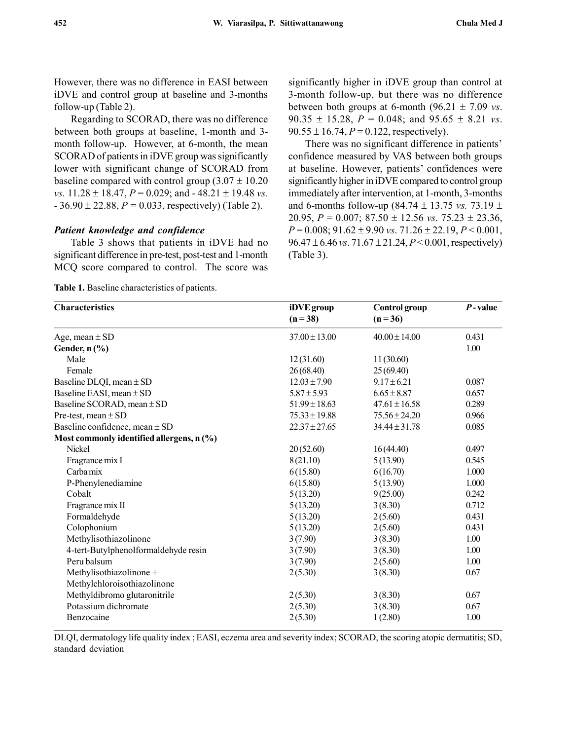However, there was no difference in EASI between iDVE and control group at baseline and 3-months follow-up (Table 2).

Regarding to SCORAD, there was no difference between both groups at baseline, 1-month and 3 month follow-up. However, at 6-month, the mean SCORAD of patients in iDVE group was significantly lower with significant change of SCORAD from baseline compared with control group  $(3.07 \pm 10.20)$ vs.  $11.28 \pm 18.47$ ,  $P = 0.029$ ; and  $-48.21 \pm 19.48$  vs.  $-36.90 \pm 22.88$ ,  $P = 0.033$ , respectively) (Table 2).

### Patient knowledge and confidence

Table 3 shows that patients in iDVE had no significant difference in pre-test, post-test and 1-month MCQ score compared to control. The score was

Table 1. Baseline characteristics of patients.

significantly higher in iDVE group than control at 3-month follow-up, but there was no difference between both groups at 6-month (96.21  $\pm$  7.09 *vs*. 90.35  $\pm$  15.28,  $P = 0.048$ ; and 95.65  $\pm$  8.21 *vs*.  $90.55 \pm 16.74, P = 0.122$ , respectively).

There was no significant difference in patients' confidence measured by VAS between both groups at baseline. However, patients' confidences were significantly higher in iDVE compared to control group immediately after intervention, at 1-month, 3-months and 6-months follow-up (84.74  $\pm$  13.75 *vs.* 73.19  $\pm$ 20.95,  $P = 0.007$ ;  $87.50 \pm 12.56$  vs.  $75.23 \pm 23.36$ ,  $P = 0.008$ ; 91.62 ± 9.90 vs. 71.26 ± 22.19,  $P < 0.001$ ,  $96.47 \pm 6.46$  vs.  $71.67 \pm 21.24$ ,  $P < 0.001$ , respectively) (Table 3).

| <b>Characteristics</b>                    | iDVE group<br>$(n=38)$ | Control group<br>$(n=36)$ | $P$ -value |
|-------------------------------------------|------------------------|---------------------------|------------|
| Age, mean $\pm$ SD                        | $37.00 \pm 13.00$      | $40.00 \pm 14.00$         | 0.431      |
| Gender, n (%)                             |                        |                           | 1.00       |
| Male                                      | 12(31.60)              | 11(30.60)                 |            |
| Female                                    | 26(68.40)              | 25(69.40)                 |            |
| Baseline DLQI, mean ± SD                  | $12.03 \pm 7.90$       | $9.17 \pm 6.21$           | 0.087      |
| Baseline EASI, mean ± SD                  | $5.87 \pm 5.93$        | $6.65 \pm 8.87$           | 0.657      |
| Baseline SCORAD, mean ± SD                | $51.99 \pm 18.63$      | $47.61 \pm 16.58$         | 0.289      |
| Pre-test, mean $\pm$ SD                   | $75.33 \pm 19.88$      | $75.56 \pm 24.20$         | 0.966      |
| Baseline confidence, mean $\pm$ SD        | $22.37 \pm 27.65$      | $34.44 \pm 31.78$         | 0.085      |
| Most commonly identified allergens, n (%) |                        |                           |            |
| <b>Nickel</b>                             | 20(52.60)              | 16(44.40)                 | 0.497      |
| Fragrance mix I                           | 8(21.10)               | 5(13.90)                  | 0.545      |
| Carba mix                                 | 6(15.80)               | 6(16.70)                  | 1.000      |
| P-Phenylenediamine                        | 6(15.80)               | 5(13.90)                  | 1.000      |
| Cobalt                                    | 5(13.20)               | 9(25.00)                  | 0.242      |
| Fragrance mix II                          | 5(13.20)               | 3(8.30)                   | 0.712      |
| Formaldehyde                              | 5(13.20)               | 2(5.60)                   | 0.431      |
| Colophonium                               | 5(13.20)               | 2(5.60)                   | 0.431      |
| Methylisothiazolinone                     | 3(7.90)                | 3(8.30)                   | 1.00       |
| 4-tert-Butylphenolformaldehyde resin      | 3(7.90)                | 3(8.30)                   | 1.00       |
| Peru balsum                               | 3(7.90)                | 2(5.60)                   | 1.00       |
| Methylisothiazolinone +                   | 2(5.30)                | 3(8.30)                   | 0.67       |
| Methylchloroisothiazolinone               |                        |                           |            |
| Methyldibromo glutaronitrile              | 2(5.30)                | 3(8.30)                   | 0.67       |
| Potassium dichromate                      | 2(5.30)                | 3(8.30)                   | 0.67       |
| Benzocaine                                | 2(5.30)                | 1(2.80)                   | 1.00       |

DLQI, dermatology life quality index ; EASI, eczema area and severity index; SCORAD, the scoring atopic dermatitis; SD, standard deviation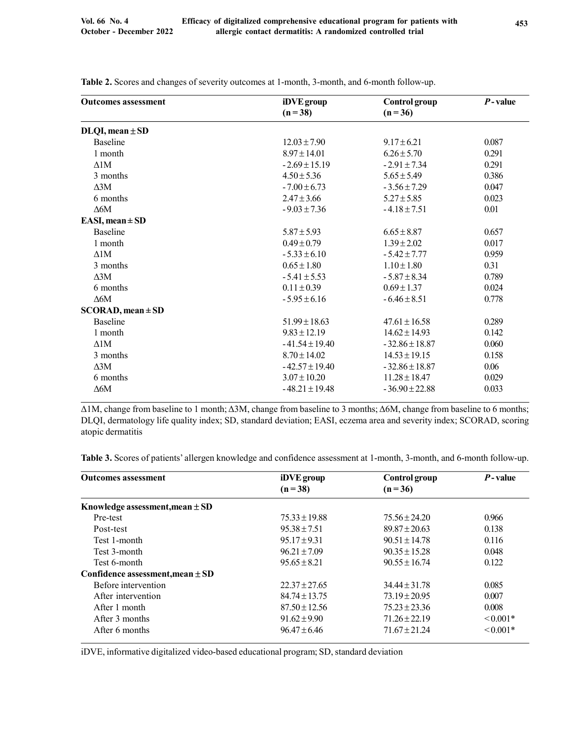| <b>Outcomes assessment</b> | iDVE group         | Control group      | $P$ -value |
|----------------------------|--------------------|--------------------|------------|
|                            | $(n=38)$           | $(n=36)$           |            |
| $DLQI, mean \pm SD$        |                    |                    |            |
| Baseline                   | $12.03 \pm 7.90$   | $9.17 \pm 6.21$    | 0.087      |
| 1 month                    | $8.97 \pm 14.01$   | $6.26 \pm 5.70$    | 0.291      |
| $\triangle$ 1M             | $-2.69 \pm 15.19$  | $-2.91 \pm 7.34$   | 0.291      |
| 3 months                   | $4.50 \pm 5.36$    | $5.65 \pm 5.49$    | 0.386      |
| $\triangle 3M$             | $-7.00 \pm 6.73$   | $-3.56 \pm 7.29$   | 0.047      |
| 6 months                   | $2.47 \pm 3.66$    | $5.27 \pm 5.85$    | 0.023      |
| $\Delta 6M$                | $-9.03 \pm 7.36$   | $-4.18 \pm 7.51$   | 0.01       |
| EASI, mean $\pm$ SD        |                    |                    |            |
| <b>Baseline</b>            | $5.87 \pm 5.93$    | $6.65 \pm 8.87$    | 0.657      |
| 1 month                    | $0.49 \pm 0.79$    | $1.39 \pm 2.02$    | 0.017      |
| $\Delta$ 1M                | $-5.33 \pm 6.10$   | $-5.42 \pm 7.77$   | 0.959      |
| 3 months                   | $0.65 \pm 1.80$    | $1.10 \pm 1.80$    | 0.31       |
| $\triangle 3M$             | $-5.41 \pm 5.53$   | $-5.87 \pm 8.34$   | 0.789      |
| 6 months                   | $0.11 \pm 0.39$    | $0.69 \pm 1.37$    | 0.024      |
| $\Delta 6M$                | $-5.95 \pm 6.16$   | $-6.46 \pm 8.51$   | 0.778      |
| $SCORAD$ , mean $\pm SD$   |                    |                    |            |
| <b>Baseline</b>            | $51.99 \pm 18.63$  | $47.61 \pm 16.58$  | 0.289      |
| 1 month                    | $9.83 \pm 12.19$   | $14.62 \pm 14.93$  | 0.142      |
| $\Delta$ 1M                | $-41.54 \pm 19.40$ | $-32.86 \pm 18.87$ | 0.060      |
| 3 months                   | $8.70 \pm 14.02$   | $14.53 \pm 19.15$  | 0.158      |
| $\Delta 3M$                | $-42.57 \pm 19.40$ | $-32.86 \pm 18.87$ | 0.06       |
| 6 months                   | $3.07 \pm 10.20$   | $11.28 \pm 18.47$  | 0.029      |
| $\Delta 6M$                | $-48.21 \pm 19.48$ | $-36.90 \pm 22.88$ | 0.033      |
|                            |                    |                    |            |

Table 2. Scores and changes of severity outcomes at 1-month, 3-month, and 6-month follow-up.

Δ1M, change from baseline to 1 month; Δ3M, change from baseline to 3 months; Δ6M, change from baseline to 6 months; DLQI, dermatology life quality index; SD, standard deviation; EASI, eczema area and severity index; SCORAD, scoring atopic dermatitis

Table 3. Scores of patients' allergen knowledge and confidence assessment at 1-month, 3-month, and 6-month follow-up.

| <b>Outcomes assessment</b>           | iDVE group        | Control group     | P-value       |
|--------------------------------------|-------------------|-------------------|---------------|
|                                      | $(n=38)$          | $(n=36)$          |               |
| Knowledge assessment, mean $\pm$ SD  |                   |                   |               |
| Pre-test                             | $75.33 \pm 19.88$ | $75.56 \pm 24.20$ | 0.966         |
| Post-test                            | $95.38 \pm 7.51$  | $89.87 \pm 20.63$ | 0.138         |
| Test 1-month                         | $95.17 \pm 9.31$  | $90.51 \pm 14.78$ | 0.116         |
| Test 3-month                         | $96.21 \pm 7.09$  | $90.35 \pm 15.28$ | 0.048         |
| Test 6-month                         | $95.65 \pm 8.21$  | $90.55 \pm 16.74$ | 0.122         |
| Confidence assessment, mean $\pm$ SD |                   |                   |               |
| Before intervention                  | $22.37 \pm 27.65$ | $34.44 \pm 31.78$ | 0.085         |
| After intervention                   | $84.74 \pm 13.75$ | $73.19 \pm 20.95$ | 0.007         |
| After 1 month                        | $87.50 \pm 12.56$ | $75.23 \pm 23.36$ | 0.008         |
| After 3 months                       | $91.62 \pm 9.90$  | $71.26 \pm 22.19$ | $\leq 0.001*$ |
| After 6 months                       | $96.47 \pm 6.46$  | $71.67 \pm 21.24$ | $\leq 0.001*$ |

iDVE, informative digitalized video-based educational program; SD, standard deviation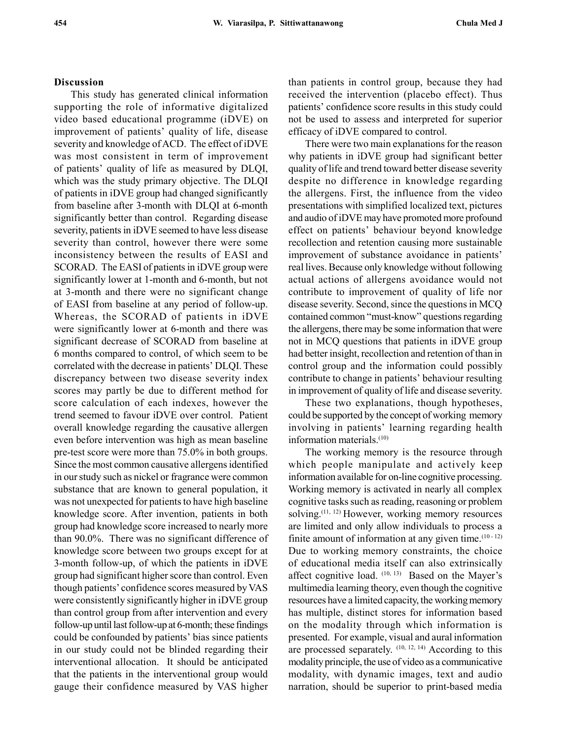## Discussion

This study has generated clinical information supporting the role of informative digitalized video based educational programme (iDVE) on improvement of patients' quality of life, disease severity and knowledge of ACD. The effect of iDVE was most consistent in term of improvement of patients' quality of life as measured by DLQI, which was the study primary objective. The DLQI of patients in iDVE group had changed significantly from baseline after 3-month with DLQI at 6-month significantly better than control. Regarding disease severity, patients in iDVE seemed to have less disease severity than control, however there were some inconsistency between the results of EASI and SCORAD. The EASI of patients in iDVE group were significantly lower at 1-month and 6-month, but not at 3-month and there were no significant change of EASI from baseline at any period of follow-up. Whereas, the SCORAD of patients in iDVE were significantly lower at 6-month and there was significant decrease of SCORAD from baseline at 6 months compared to control, of which seem to be correlated with the decrease in patients' DLQI. These discrepancy between two disease severity index scores may partly be due to different method for score calculation of each indexes, however the trend seemed to favour iDVE over control. Patient overall knowledge regarding the causative allergen even before intervention was high as mean baseline pre-test score were more than 75.0% in both groups. Since the most common causative allergens identified in our study such as nickel or fragrance were common substance that are known to general population, it was not unexpected for patients to have high baseline knowledge score. After invention, patients in both group had knowledge score increased to nearly more than 90.0%. There was no significant difference of knowledge score between two groups except for at 3-month follow-up, of which the patients in iDVE group had significant higher score than control. Even though patients' confidence scores measured by VAS were consistently significantly higher in iDVE group than control group from after intervention and every follow-up until last follow-up at 6-month; these findings could be confounded by patients' bias since patients in our study could not be blinded regarding their interventional allocation. It should be anticipated that the patients in the interventional group would gauge their confidence measured by VAS higher than patients in control group, because they had received the intervention (placebo effect). Thus patients' confidence score results in this study could not be used to assess and interpreted for superior efficacy of iDVE compared to control.

There were two main explanations for the reason why patients in iDVE group had significant better quality of life and trend toward better disease severity despite no difference in knowledge regarding the allergens. First, the influence from the video presentations with simplified localized text, pictures and audio of iDVE may have promoted more profound effect on patients' behaviour beyond knowledge recollection and retention causing more sustainable improvement of substance avoidance in patients' real lives. Because only knowledge without following actual actions of allergens avoidance would not contribute to improvement of quality of life nor disease severity. Second, since the questions in MCQ contained common "must-know" questions regarding the allergens, there may be some information that were not in MCQ questions that patients in iDVE group had better insight, recollection and retention of than in control group and the information could possibly contribute to change in patients' behaviour resulting in improvement of quality of life and disease severity.

These two explanations, though hypotheses, could be supported by the concept of working memory involving in patients' learning regarding health information materials.(10)

The working memory is the resource through which people manipulate and actively keep information available for on-line cognitive processing. Working memory is activated in nearly all complex cognitive tasks such as reading, reasoning or problem solving.(11, 12) However, working memory resources are limited and only allow individuals to process a finite amount of information at any given time. $(10 - 12)$ Due to working memory constraints, the choice of educational media itself can also extrinsically affect cognitive load. (10, 13) Based on the Mayer's multimedia learning theory, even though the cognitive resources have a limited capacity, the working memory has multiple, distinct stores for information based on the modality through which information is presented. For example, visual and aural information are processed separately.  $(10, 12, 14)$  According to this modality principle, the use of video as a communicative modality, with dynamic images, text and audio narration, should be superior to print-based media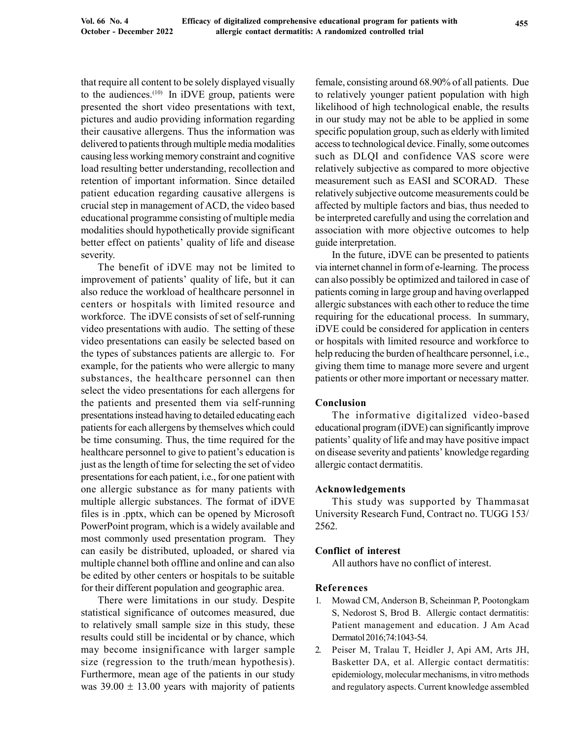that require all content to be solely displayed visually to the audiences. $(10)$  In iDVE group, patients were presented the short video presentations with text, pictures and audio providing information regarding their causative allergens. Thus the information was delivered to patients through multiple media modalities causing less working memory constraint and cognitive load resulting better understanding, recollection and retention of important information. Since detailed patient education regarding causative allergens is crucial step in management of ACD, the video based educational programme consisting of multiple media modalities should hypothetically provide significant better effect on patients' quality of life and disease severity.

The benefit of iDVE may not be limited to improvement of patients' quality of life, but it can also reduce the workload of healthcare personnel in centers or hospitals with limited resource and workforce. The iDVE consists of set of self-running video presentations with audio. The setting of these video presentations can easily be selected based on the types of substances patients are allergic to. For example, for the patients who were allergic to many substances, the healthcare personnel can then select the video presentations for each allergens for the patients and presented them via self-running presentations instead having to detailed educating each patients for each allergens by themselves which could be time consuming. Thus, the time required for the healthcare personnel to give to patient's education is just as the length of time for selecting the set of video presentations for each patient, i.e., for one patient with one allergic substance as for many patients with multiple allergic substances. The format of iDVE files is in .pptx, which can be opened by Microsoft PowerPoint program, which is a widely available and most commonly used presentation program. They can easily be distributed, uploaded, or shared via multiple channel both offline and online and can also be edited by other centers or hospitals to be suitable for their different population and geographic area.

There were limitations in our study. Despite statistical significance of outcomes measured, due to relatively small sample size in this study, these results could still be incidental or by chance, which may become insignificance with larger sample size (regression to the truth/mean hypothesis). Furthermore, mean age of the patients in our study was  $39.00 \pm 13.00$  years with majority of patients female, consisting around 68.90% of all patients. Due to relatively younger patient population with high likelihood of high technological enable, the results in our study may not be able to be applied in some specific population group, such as elderly with limited access to technological device. Finally, some outcomes such as DLQI and confidence VAS score were relatively subjective as compared to more objective measurement such as EASI and SCORAD. These relatively subjective outcome measurements could be affected by multiple factors and bias, thus needed to be interpreted carefully and using the correlation and association with more objective outcomes to help guide interpretation.

In the future, iDVE can be presented to patients via internet channel in form of e-learning. The process can also possibly be optimized and tailored in case of patients coming in large group and having overlapped allergic substances with each other to reduce the time requiring for the educational process. In summary, iDVE could be considered for application in centers or hospitals with limited resource and workforce to help reducing the burden of healthcare personnel, i.e., giving them time to manage more severe and urgent patients or other more important or necessary matter.

## Conclusion

The informative digitalized video-based educational program (iDVE) can significantly improve patients' quality of life and may have positive impact on disease severity and patients' knowledge regarding allergic contact dermatitis.

## Acknowledgements

This study was supported by Thammasat University Research Fund, Contract no. TUGG 153/ 2562.

## Conflict of interest

All authors have no conflict of interest.

#### References

- 1. Mowad CM, Anderson B, Scheinman P, Pootongkam S, Nedorost S, Brod B. Allergic contact dermatitis: Patient management and education. J Am Acad Dermatol 2016;74:1043-54.
- 2. Peiser M, Tralau T, Heidler J, Api AM, Arts JH, Basketter DA, et al. Allergic contact dermatitis: epidemiology, molecular mechanisms, in vitro methods and regulatory aspects. Current knowledge assembled